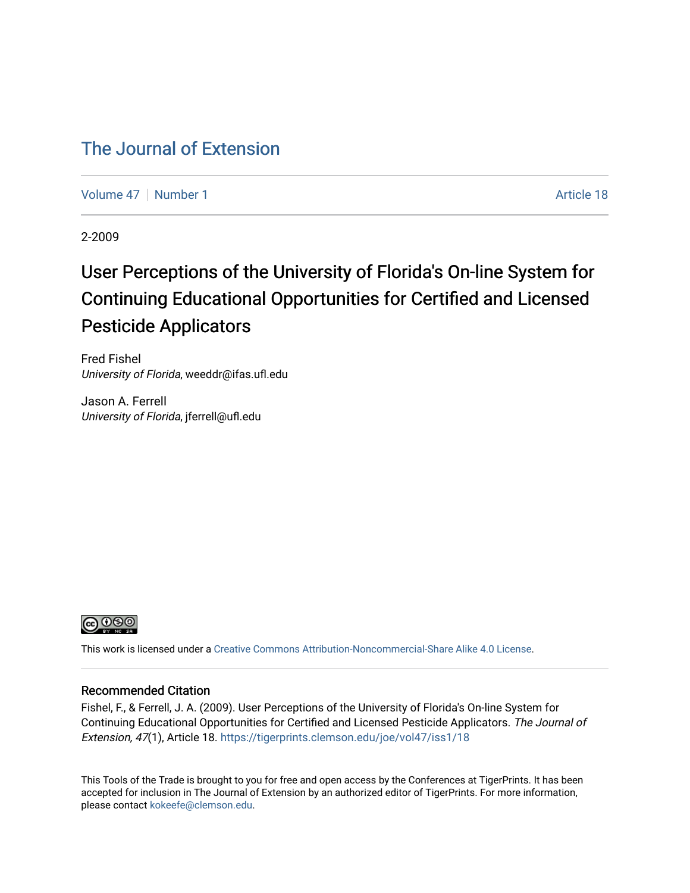#### [The Journal of Extension](https://tigerprints.clemson.edu/joe)

[Volume 47](https://tigerprints.clemson.edu/joe/vol47) | [Number 1](https://tigerprints.clemson.edu/joe/vol47/iss1) Article 18

2-2009

# User Perceptions of the University of Florida's On-line System for Continuing Educational Opportunities for Certified and Licensed Pesticide Applicators

Fred Fishel University of Florida, weeddr@ifas.ufl.edu

Jason A. Ferrell University of Florida, jferrell@ufl.edu



This work is licensed under a [Creative Commons Attribution-Noncommercial-Share Alike 4.0 License.](https://creativecommons.org/licenses/by-nc-sa/4.0/)

#### Recommended Citation

Fishel, F., & Ferrell, J. A. (2009). User Perceptions of the University of Florida's On-line System for Continuing Educational Opportunities for Certified and Licensed Pesticide Applicators. The Journal of Extension, 47(1), Article 18. <https://tigerprints.clemson.edu/joe/vol47/iss1/18>

This Tools of the Trade is brought to you for free and open access by the Conferences at TigerPrints. It has been accepted for inclusion in The Journal of Extension by an authorized editor of TigerPrints. For more information, please contact [kokeefe@clemson.edu](mailto:kokeefe@clemson.edu).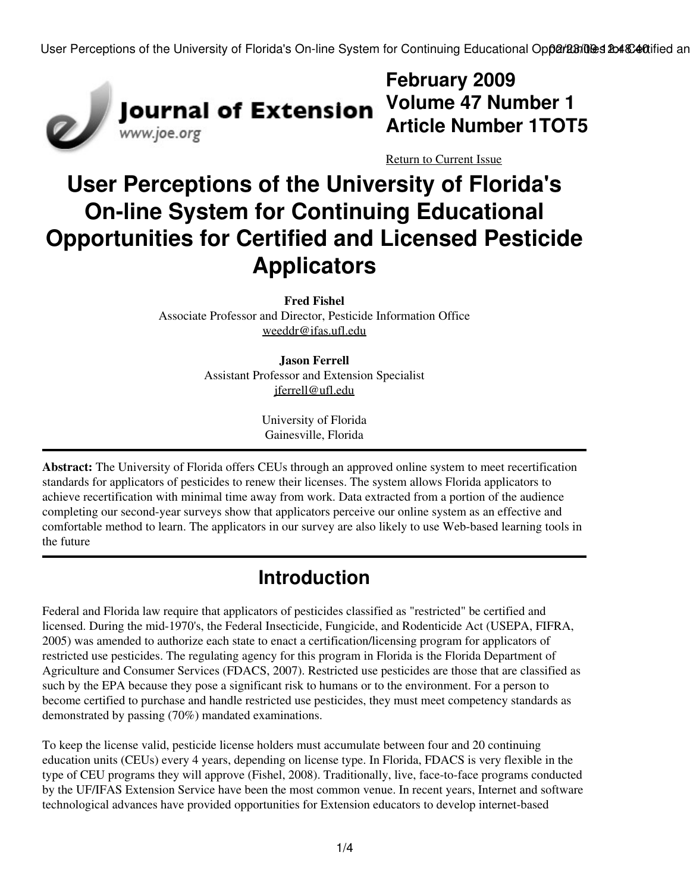

**February 2009 Article Number 1TOT5**

[Return to Current Issue](http://www.joe.org:80/joe/2009february/)

# **User Perceptions of the University of Florida's On-line System for Continuing Educational Opportunities for Certified and Licensed Pesticide Applicators**

**Fred Fishel** Associate Professor and Director, Pesticide Information Office [weeddr@ifas.ufl.edu](mailto:weeddr@ifas.ufl.edu)

> **Jason Ferrell** Assistant Professor and Extension Specialist [jferrell@ufl.edu](mailto:jferrell@ufl.edu)

> > University of Florida Gainesville, Florida

**Abstract:** The University of Florida offers CEUs through an approved online system to meet recertification standards for applicators of pesticides to renew their licenses. The system allows Florida applicators to achieve recertification with minimal time away from work. Data extracted from a portion of the audience completing our second-year surveys show that applicators perceive our online system as an effective and comfortable method to learn. The applicators in our survey are also likely to use Web-based learning tools in the future

# **Introduction**

Federal and Florida law require that applicators of pesticides classified as "restricted" be certified and licensed. During the mid-1970's, the Federal Insecticide, Fungicide, and Rodenticide Act (USEPA, FIFRA, 2005) was amended to authorize each state to enact a certification/licensing program for applicators of restricted use pesticides. The regulating agency for this program in Florida is the Florida Department of Agriculture and Consumer Services (FDACS, 2007). Restricted use pesticides are those that are classified as such by the EPA because they pose a significant risk to humans or to the environment. For a person to become certified to purchase and handle restricted use pesticides, they must meet competency standards as demonstrated by passing (70%) mandated examinations.

To keep the license valid, pesticide license holders must accumulate between four and 20 continuing education units (CEUs) every 4 years, depending on license type. In Florida, FDACS is very flexible in the type of CEU programs they will approve (Fishel, 2008). Traditionally, live, face-to-face programs conducted by the UF/IFAS Extension Service have been the most common venue. In recent years, Internet and software technological advances have provided opportunities for Extension educators to develop internet-based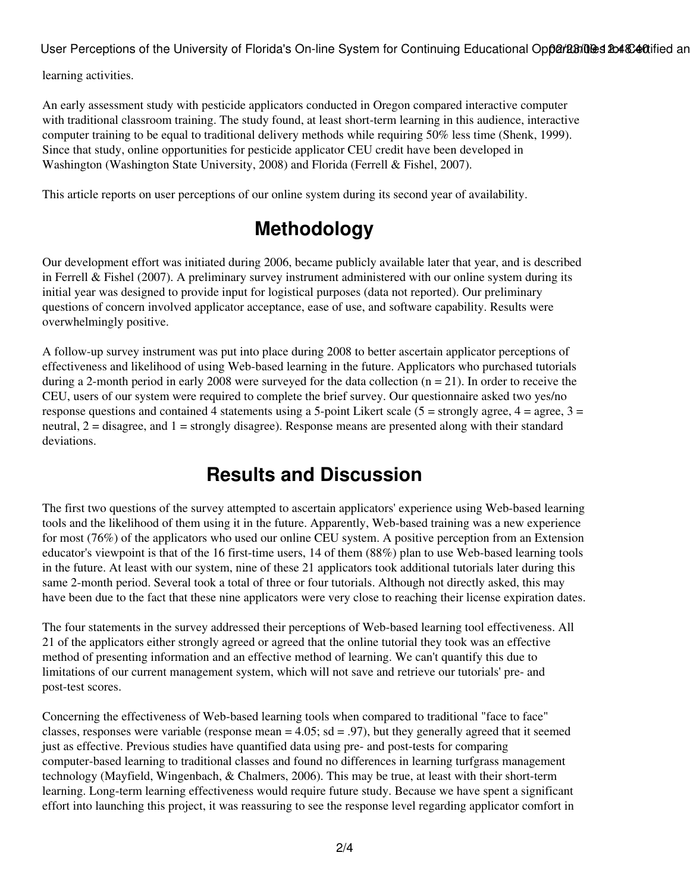User Perceptions of the University of Florida's On-line System for Continuing Educational Opparabiles 2048C40tified an

learning activities.

An early assessment study with pesticide applicators conducted in Oregon compared interactive computer with traditional classroom training. The study found, at least short-term learning in this audience, interactive computer training to be equal to traditional delivery methods while requiring 50% less time (Shenk, 1999). Since that study, online opportunities for pesticide applicator CEU credit have been developed in Washington (Washington State University, 2008) and Florida (Ferrell & Fishel, 2007).

This article reports on user perceptions of our online system during its second year of availability.

# **Methodology**

Our development effort was initiated during 2006, became publicly available later that year, and is described in Ferrell & Fishel (2007). A preliminary survey instrument administered with our online system during its initial year was designed to provide input for logistical purposes (data not reported). Our preliminary questions of concern involved applicator acceptance, ease of use, and software capability. Results were overwhelmingly positive.

A follow-up survey instrument was put into place during 2008 to better ascertain applicator perceptions of effectiveness and likelihood of using Web-based learning in the future. Applicators who purchased tutorials during a 2-month period in early 2008 were surveyed for the data collection  $(n = 21)$ . In order to receive the CEU, users of our system were required to complete the brief survey. Our questionnaire asked two yes/no response questions and contained 4 statements using a 5-point Likert scale (5 = strongly agree,  $4 = \text{agree}, 3 =$ neutral, 2 = disagree, and 1 = strongly disagree). Response means are presented along with their standard deviations.

## **Results and Discussion**

The first two questions of the survey attempted to ascertain applicators' experience using Web-based learning tools and the likelihood of them using it in the future. Apparently, Web-based training was a new experience for most (76%) of the applicators who used our online CEU system. A positive perception from an Extension educator's viewpoint is that of the 16 first-time users, 14 of them (88%) plan to use Web-based learning tools in the future. At least with our system, nine of these 21 applicators took additional tutorials later during this same 2-month period. Several took a total of three or four tutorials. Although not directly asked, this may have been due to the fact that these nine applicators were very close to reaching their license expiration dates.

The four statements in the survey addressed their perceptions of Web-based learning tool effectiveness. All 21 of the applicators either strongly agreed or agreed that the online tutorial they took was an effective method of presenting information and an effective method of learning. We can't quantify this due to limitations of our current management system, which will not save and retrieve our tutorials' pre- and post-test scores.

Concerning the effectiveness of Web-based learning tools when compared to traditional "face to face" classes, responses were variable (response mean  $= 4.05$ ; sd = .97), but they generally agreed that it seemed just as effective. Previous studies have quantified data using pre- and post-tests for comparing computer-based learning to traditional classes and found no differences in learning turfgrass management technology (Mayfield, Wingenbach, & Chalmers, 2006). This may be true, at least with their short-term learning. Long-term learning effectiveness would require future study. Because we have spent a significant effort into launching this project, it was reassuring to see the response level regarding applicator comfort in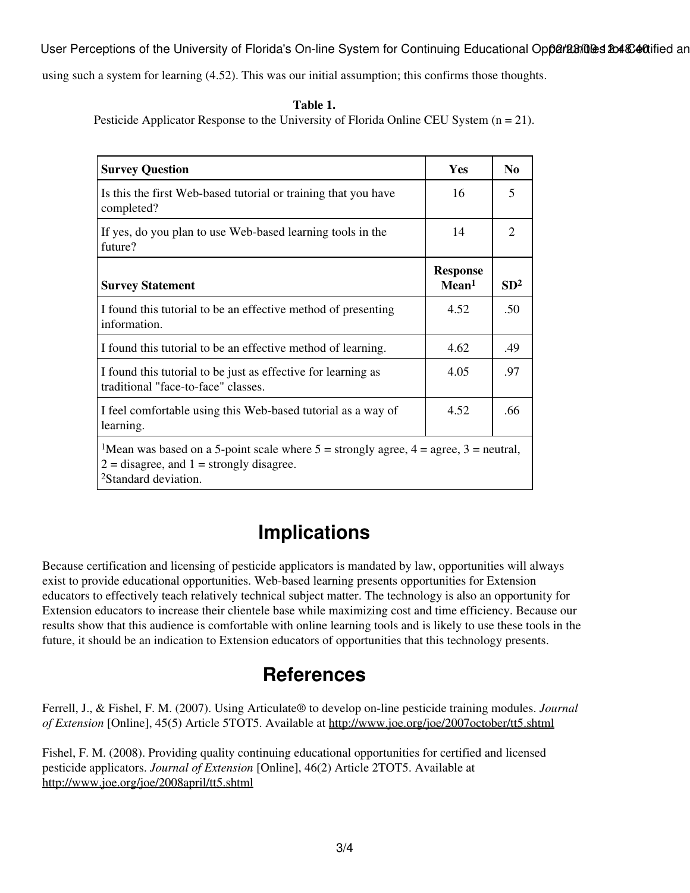User Perceptions of the University of Florida's On-line System for Continuing Educational Opparabiles 2048C40tified an

using such a system for learning (4.52). This was our initial assumption; this confirms those thoughts.

#### **Table 1.**

Pesticide Applicator Response to the University of Florida Online CEU System  $(n = 21)$ .

| <b>Survey Question</b>                                                                                                                                                                     | Yes                                  | N <sub>0</sub>  |
|--------------------------------------------------------------------------------------------------------------------------------------------------------------------------------------------|--------------------------------------|-----------------|
| Is this the first Web-based tutorial or training that you have<br>completed?                                                                                                               | 16                                   | 5               |
| If yes, do you plan to use Web-based learning tools in the<br>future?                                                                                                                      | 14                                   | 2               |
| <b>Survey Statement</b>                                                                                                                                                                    | <b>Response</b><br>Mean <sup>1</sup> | SD <sup>2</sup> |
| I found this tutorial to be an effective method of presenting<br>information.                                                                                                              | 4.52                                 | .50             |
| I found this tutorial to be an effective method of learning.                                                                                                                               | 4.62                                 | .49             |
| I found this tutorial to be just as effective for learning as<br>traditional "face-to-face" classes.                                                                                       | 4.05                                 | .97             |
| I feel comfortable using this Web-based tutorial as a way of<br>learning.                                                                                                                  | 4.52                                 | .66             |
| <sup>1</sup> Mean was based on a 5-point scale where $5 =$ strongly agree, $4 =$ agree, $3 =$ neutral,<br>$2 =$ disagree, and $1 =$ strongly disagree.<br><sup>2</sup> Standard deviation. |                                      |                 |

## **Implications**

Because certification and licensing of pesticide applicators is mandated by law, opportunities will always exist to provide educational opportunities. Web-based learning presents opportunities for Extension educators to effectively teach relatively technical subject matter. The technology is also an opportunity for Extension educators to increase their clientele base while maximizing cost and time efficiency. Because our results show that this audience is comfortable with online learning tools and is likely to use these tools in the future, it should be an indication to Extension educators of opportunities that this technology presents.

### **References**

Ferrell, J., & Fishel, F. M. (2007). Using Articulate® to develop on-line pesticide training modules. *Journal of Extension* [Online], 45(5) Article 5TOT5. Available at <http://www.joe.org/joe/2007october/tt5.shtml>

Fishel, F. M. (2008). Providing quality continuing educational opportunities for certified and licensed pesticide applicators. *Journal of Extension* [Online], 46(2) Article 2TOT5. Available at <http://www.joe.org/joe/2008april/tt5.shtml>